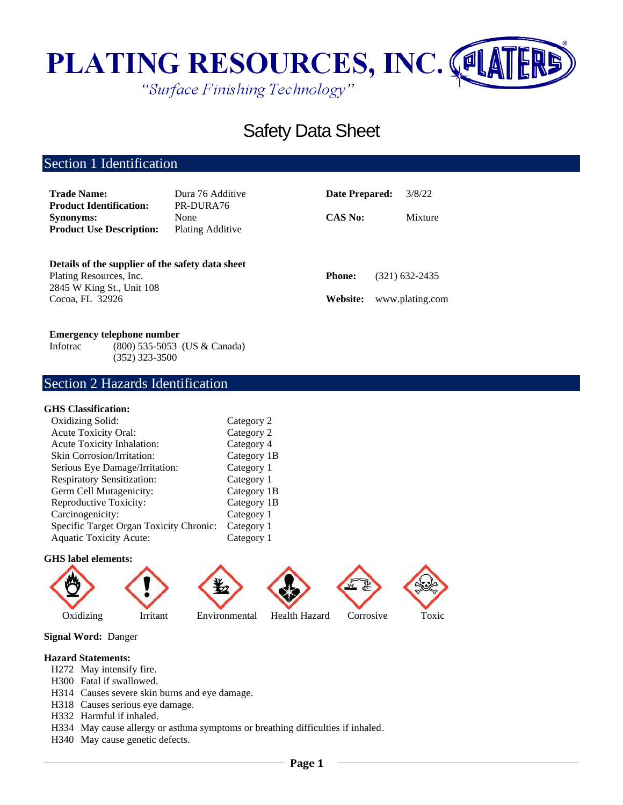

# Safety Data Sheet

## Section 1 Identification

| <b>Trade Name:</b><br><b>Product Identification:</b>                                                     | Dura 76 Additive<br>PR-DURA76   | Date Prepared: | 3/8/22          |  |
|----------------------------------------------------------------------------------------------------------|---------------------------------|----------------|-----------------|--|
| <b>Synonyms:</b><br><b>Product Use Description:</b>                                                      | None<br><b>Plating Additive</b> | <b>CAS No:</b> | Mixture         |  |
| Details of the supplier of the safety data sheet<br>Plating Resources, Inc.<br>2845 W King St., Unit 108 |                                 | <b>Phone:</b>  | (321) 632-2435  |  |
| Cocoa, FL 32926                                                                                          |                                 | Website:       | www.plating.com |  |

### **Emergency telephone number**

Infotrac (800) 535-5053 (US & Canada) (352) 323-3500

## Section 2 Hazards Identification

## **GHS Classification:**

| Oxidizing Solid:                        | Category 2  |
|-----------------------------------------|-------------|
| <b>Acute Toxicity Oral:</b>             | Category 2  |
| Acute Toxicity Inhalation:              | Category 4  |
| <b>Skin Corrosion/Irritation:</b>       | Category 1B |
| Serious Eye Damage/Irritation:          | Category 1  |
| <b>Respiratory Sensitization:</b>       | Category 1  |
| Germ Cell Mutagenicity:                 | Category 1B |
| Reproductive Toxicity:                  | Category 1B |
| Carcinogenicity:                        | Category 1  |
| Specific Target Organ Toxicity Chronic: | Category 1  |
| <b>Aquatic Toxicity Acute:</b>          | Category 1  |

#### **GHS label elements:**



**Signal Word:** Danger

### **Hazard Statements:**

- H272 May intensify fire.
- H300 Fatal if swallowed.
- H314 Causes severe skin burns and eye damage.
- H318 Causes serious eye damage.
- H332 Harmful if inhaled.
- H334 May cause allergy or asthma symptoms or breathing difficulties if inhaled.
- H340 May cause genetic defects.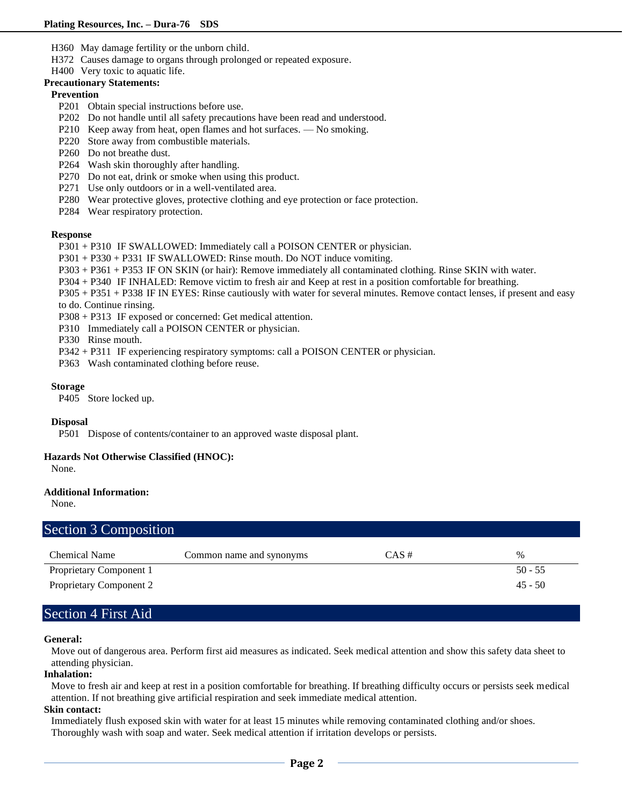- H360 May damage fertility or the unborn child.
- H372 Causes damage to organs through prolonged or repeated exposure.
- H400 Very toxic to aquatic life.

## **Precautionary Statements:**

## **Prevention**

- P201 Obtain special instructions before use.
- P202 Do not handle until all safety precautions have been read and understood.
- P210 Keep away from heat, open flames and hot surfaces. No smoking.
- P220 Store away from combustible materials.
- P260 Do not breathe dust.
- P264 Wash skin thoroughly after handling.
- P270 Do not eat, drink or smoke when using this product.
- P271 Use only outdoors or in a well-ventilated area.
- P280 Wear protective gloves, protective clothing and eye protection or face protection.
- P284 Wear respiratory protection.

### **Response**

- P301 + P310 IF SWALLOWED: Immediately call a POISON CENTER or physician.
- P301 + P330 + P331 IF SWALLOWED: Rinse mouth. Do NOT induce vomiting.
- P303 + P361 + P353 IF ON SKIN (or hair): Remove immediately all contaminated clothing. Rinse SKIN with water.
- P304 + P340 IF INHALED: Remove victim to fresh air and Keep at rest in a position comfortable for breathing.
- P305 + P351 + P338 IF IN EYES: Rinse cautiously with water for several minutes. Remove contact lenses, if present and easy

to do. Continue rinsing.

- P308 + P313 IF exposed or concerned: Get medical attention.
- P310 Immediately call a POISON CENTER or physician.
- P330 Rinse mouth.
- P342 + P311 IF experiencing respiratory symptoms: call a POISON CENTER or physician.
- P363 Wash contaminated clothing before reuse.

### **Storage**

P405 Store locked up.

## **Disposal**

P501 Dispose of contents/container to an approved waste disposal plant.

## **Hazards Not Otherwise Classified (HNOC):**

None.

## **Additional Information:**

None.

| Section 3 Composition          |                          |          |           |
|--------------------------------|--------------------------|----------|-----------|
| Chemical Name                  | Common name and synonyms | $CAS \#$ | $\%$      |
| Proprietary Component 1        |                          |          | $50 - 55$ |
| <b>Proprietary Component 2</b> |                          |          | $45 - 50$ |

## Section 4 First Aid

### **General:**

Move out of dangerous area. Perform first aid measures as indicated. Seek medical attention and show this safety data sheet to attending physician.

### **Inhalation:**

Move to fresh air and keep at rest in a position comfortable for breathing. If breathing difficulty occurs or persists seek medical attention. If not breathing give artificial respiration and seek immediate medical attention.

## **Skin contact:**

Immediately flush exposed skin with water for at least 15 minutes while removing contaminated clothing and/or shoes. Thoroughly wash with soap and water. Seek medical attention if irritation develops or persists.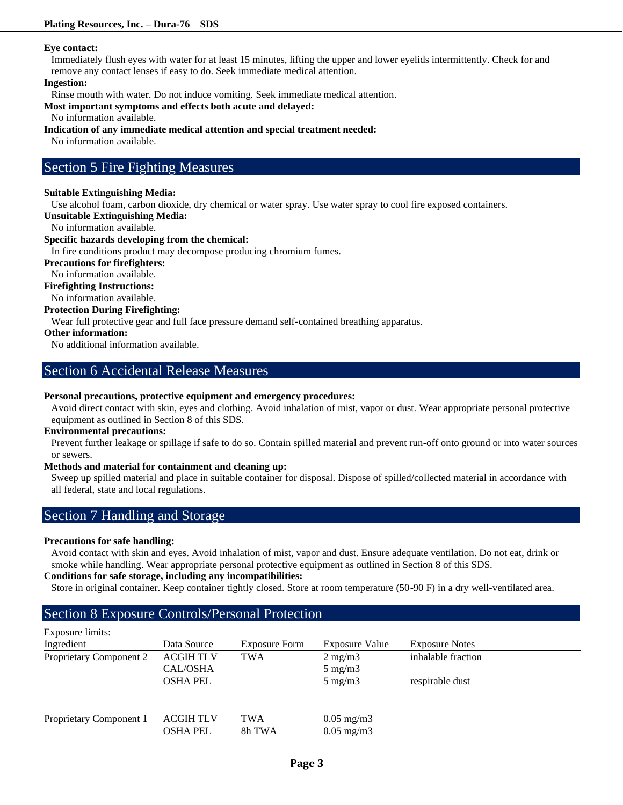## **Eye contact:**

Immediately flush eyes with water for at least 15 minutes, lifting the upper and lower eyelids intermittently. Check for and remove any contact lenses if easy to do. Seek immediate medical attention.

### **Ingestion:**

Rinse mouth with water. Do not induce vomiting. Seek immediate medical attention.

### **Most important symptoms and effects both acute and delayed:**

No information available.

## **Indication of any immediate medical attention and special treatment needed:**

No information available.

## Section 5 Fire Fighting Measures

## **Suitable Extinguishing Media:**

Use alcohol foam, carbon dioxide, dry chemical or water spray. Use water spray to cool fire exposed containers.

**Unsuitable Extinguishing Media:**

No information available.

## **Specific hazards developing from the chemical:**

In fire conditions product may decompose producing chromium fumes.

## **Precautions for firefighters:**

No information available.

## **Firefighting Instructions:**

No information available.

## **Protection During Firefighting:**

Wear full protective gear and full face pressure demand self-contained breathing apparatus.

## **Other information:**

No additional information available.

## Section 6 Accidental Release Measures

## **Personal precautions, protective equipment and emergency procedures:**

Avoid direct contact with skin, eyes and clothing. Avoid inhalation of mist, vapor or dust. Wear appropriate personal protective equipment as outlined in Section 8 of this SDS.

### **Environmental precautions:**

Prevent further leakage or spillage if safe to do so. Contain spilled material and prevent run-off onto ground or into water sources or sewers.

## **Methods and material for containment and cleaning up:**

Sweep up spilled material and place in suitable container for disposal. Dispose of spilled/collected material in accordance with all federal, state and local regulations.

## Section 7 Handling and Storage

## **Precautions for safe handling:**

Avoid contact with skin and eyes. Avoid inhalation of mist, vapor and dust. Ensure adequate ventilation. Do not eat, drink or smoke while handling. Wear appropriate personal protective equipment as outlined in Section 8 of this SDS.

## **Conditions for safe storage, including any incompatibilities:**

Store in original container. Keep container tightly closed. Store at room temperature (50-90 F) in a dry well-ventilated area.

## Section 8 Exposure Controls/Personal Protection

| Exposure limits:        |                  |                      |                       |                       |
|-------------------------|------------------|----------------------|-----------------------|-----------------------|
| Ingredient              | Data Source      | <b>Exposure Form</b> | <b>Exposure Value</b> | <b>Exposure Notes</b> |
| Proprietary Component 2 | <b>ACGIH TLV</b> | <b>TWA</b>           | $2 \text{ mg/m}$      | inhalable fraction    |
|                         | CAL/OSHA         |                      | $5 \text{ mg/m}$      |                       |
|                         | <b>OSHA PEL</b>  |                      | $5 \text{ mg/m}$      | respirable dust       |
| Proprietary Component 1 | <b>ACGIH TLV</b> | <b>TWA</b>           | $0.05 \text{ mg/m}$ 3 |                       |
|                         | <b>OSHA PEL</b>  | 8h TWA               | $0.05$ mg/m $3$       |                       |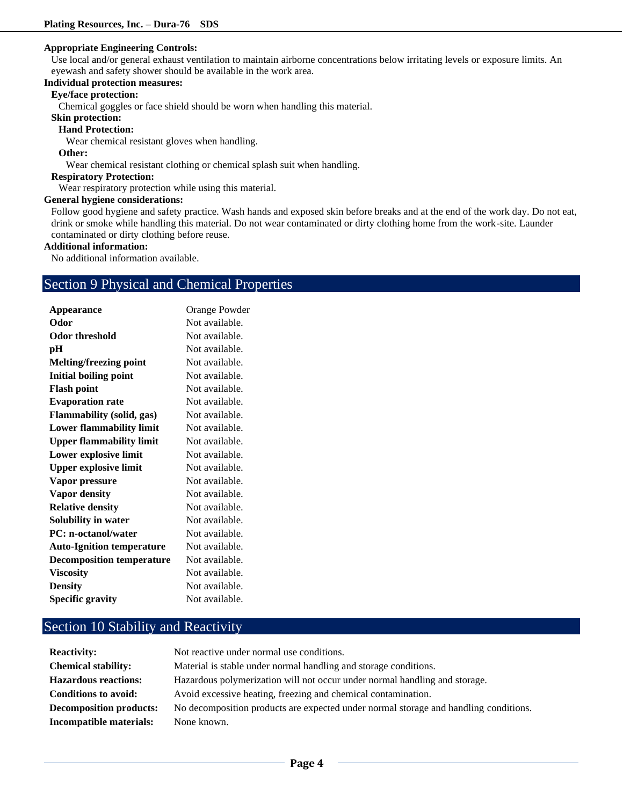#### **Appropriate Engineering Controls:**

Use local and/or general exhaust ventilation to maintain airborne concentrations below irritating levels or exposure limits. An eyewash and safety shower should be available in the work area.

## **Individual protection measures:**

## **Eye/face protection:**

Chemical goggles or face shield should be worn when handling this material.

**Skin protection:** 

### **Hand Protection:**

Wear chemical resistant gloves when handling.

### **Other:**

Wear chemical resistant clothing or chemical splash suit when handling.

### **Respiratory Protection:**

Wear respiratory protection while using this material.

### **General hygiene considerations:**

Follow good hygiene and safety practice. Wash hands and exposed skin before breaks and at the end of the work day. Do not eat, drink or smoke while handling this material. Do not wear contaminated or dirty clothing home from the work-site. Launder contaminated or dirty clothing before reuse.

### **Additional information:**

No additional information available.

## Section 9 Physical and Chemical Properties

| Appearance                       | Orange Powder  |
|----------------------------------|----------------|
| Odor                             | Not available. |
| Odor threshold                   | Not available. |
| pН                               | Not available. |
| Melting/freezing point           | Not available. |
| <b>Initial boiling point</b>     | Not available. |
| <b>Flash point</b>               | Not available. |
| <b>Evaporation rate</b>          | Not available. |
| <b>Flammability (solid, gas)</b> | Not available. |
| <b>Lower flammability limit</b>  | Not available. |
| <b>Upper flammability limit</b>  | Not available. |
| Lower explosive limit            | Not available. |
| <b>Upper explosive limit</b>     | Not available. |
| Vapor pressure                   | Not available. |
| <b>Vapor density</b>             | Not available. |
| <b>Relative density</b>          | Not available. |
| <b>Solubility in water</b>       | Not available. |
| <b>PC: n-octanol/water</b>       | Not available. |
| <b>Auto-Ignition temperature</b> | Not available. |
| <b>Decomposition temperature</b> | Not available. |
| <b>Viscosity</b>                 | Not available. |
| <b>Density</b>                   | Not available. |
| <b>Specific gravity</b>          | Not available. |

## Section 10 Stability and Reactivity

| <b>Reactivity:</b>             | Not reactive under normal use conditions.                                            |
|--------------------------------|--------------------------------------------------------------------------------------|
| <b>Chemical stability:</b>     | Material is stable under normal handling and storage conditions.                     |
| <b>Hazardous reactions:</b>    | Hazardous polymerization will not occur under normal handling and storage.           |
| <b>Conditions to avoid:</b>    | Avoid excessive heating, freezing and chemical contamination.                        |
| <b>Decomposition products:</b> | No decomposition products are expected under normal storage and handling conditions. |
| Incompatible materials:        | None known.                                                                          |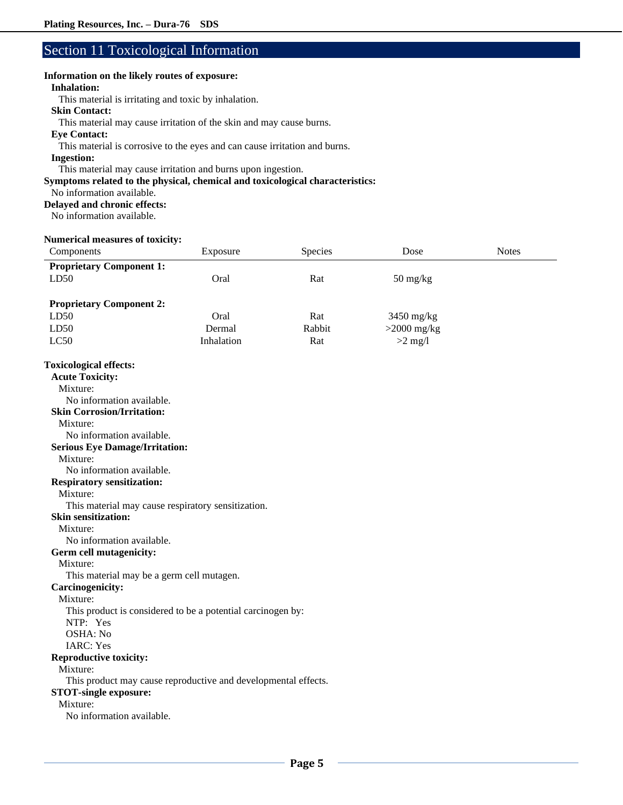## Section 11 Toxicological Information

### **Information on the likely routes of exposure:**

## **Inhalation:**

This material is irritating and toxic by inhalation.

## **Skin Contact:**

This material may cause irritation of the skin and may cause burns.

## **Eye Contact:**

This material is corrosive to the eyes and can cause irritation and burns.

### **Ingestion:**

This material may cause irritation and burns upon ingestion.

#### **Symptoms related to the physical, chemical and toxicological characteristics:**

No information available.

#### **Delayed and chronic effects:**

No information available.

## **Numerical measures of toxicity:**

| Components                                                     | Exposure   | Species | Dose                             | <b>Notes</b> |
|----------------------------------------------------------------|------------|---------|----------------------------------|--------------|
| <b>Proprietary Component 1:</b>                                |            |         |                                  |              |
| LD50                                                           | Oral       | Rat     | $50 \frac{\text{mg}}{\text{kg}}$ |              |
|                                                                |            |         |                                  |              |
| <b>Proprietary Component 2:</b>                                |            |         |                                  |              |
| LD50                                                           | Oral       | Rat     | 3450 mg/kg                       |              |
| LD50                                                           | Dermal     | Rabbit  | $>2000$ mg/kg                    |              |
| LC50                                                           | Inhalation | Rat     | $>2$ mg/l                        |              |
| <b>Toxicological effects:</b>                                  |            |         |                                  |              |
| <b>Acute Toxicity:</b>                                         |            |         |                                  |              |
| Mixture:                                                       |            |         |                                  |              |
| No information available.                                      |            |         |                                  |              |
| <b>Skin Corrosion/Irritation:</b>                              |            |         |                                  |              |
| Mixture:                                                       |            |         |                                  |              |
| No information available.                                      |            |         |                                  |              |
| <b>Serious Eye Damage/Irritation:</b>                          |            |         |                                  |              |
| Mixture:                                                       |            |         |                                  |              |
| No information available.                                      |            |         |                                  |              |
| <b>Respiratory sensitization:</b>                              |            |         |                                  |              |
| Mixture:                                                       |            |         |                                  |              |
| This material may cause respiratory sensitization.             |            |         |                                  |              |
| <b>Skin sensitization:</b>                                     |            |         |                                  |              |
| Mixture:                                                       |            |         |                                  |              |
| No information available.                                      |            |         |                                  |              |
| Germ cell mutagenicity:                                        |            |         |                                  |              |
| Mixture:                                                       |            |         |                                  |              |
| This material may be a germ cell mutagen.                      |            |         |                                  |              |
| <b>Carcinogenicity:</b>                                        |            |         |                                  |              |
| Mixture:                                                       |            |         |                                  |              |
| This product is considered to be a potential carcinogen by:    |            |         |                                  |              |
| NTP: Yes                                                       |            |         |                                  |              |
| OSHA: No                                                       |            |         |                                  |              |
| <b>IARC: Yes</b>                                               |            |         |                                  |              |
| <b>Reproductive toxicity:</b><br>Mixture:                      |            |         |                                  |              |
| This product may cause reproductive and developmental effects. |            |         |                                  |              |
| <b>STOT-single exposure:</b>                                   |            |         |                                  |              |
| Mixture:                                                       |            |         |                                  |              |
| No information available.                                      |            |         |                                  |              |
|                                                                |            |         |                                  |              |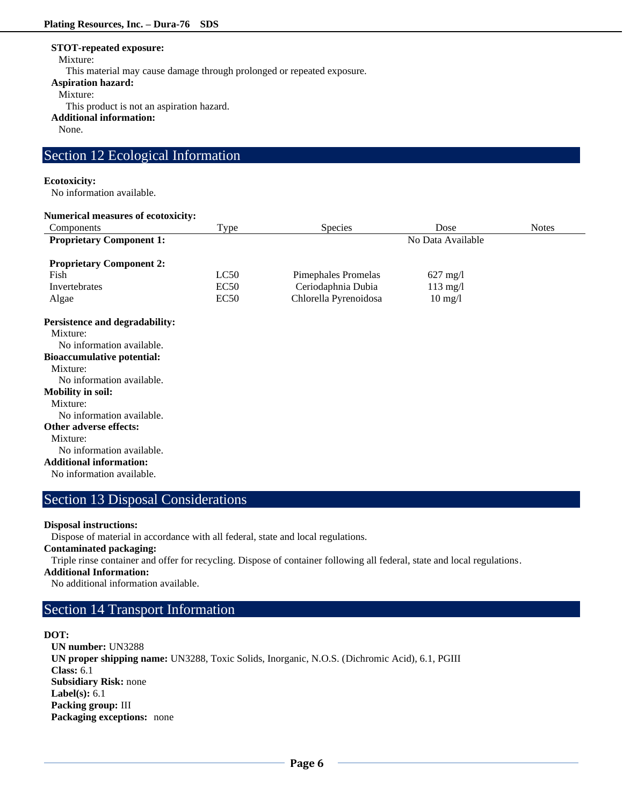#### **STOT-repeated exposure:**

Mixture:

This material may cause damage through prolonged or repeated exposure.

**Aspiration hazard:**

Mixture:

This product is not an aspiration hazard.

**Additional information:**

None.

## Section 12 Ecological Information

### **Ecotoxicity:**

No information available.

#### **Numerical measures of ecotoxicity:**

| Components                            | Type             | <b>Species</b>             | Dose               | <b>Notes</b> |
|---------------------------------------|------------------|----------------------------|--------------------|--------------|
| <b>Proprietary Component 1:</b>       |                  | No Data Available          |                    |              |
| <b>Proprietary Component 2:</b>       |                  |                            |                    |              |
| Fish                                  | LC50             | <b>Pimephales Promelas</b> | $627 \text{ mg}/1$ |              |
| Invertebrates                         | EC <sub>50</sub> | Ceriodaphnia Dubia         | $113$ mg/l         |              |
| Algae                                 | EC50             | Chlorella Pyrenoidosa      | $10 \text{ mg}/l$  |              |
| <b>Persistence and degradability:</b> |                  |                            |                    |              |
| Mixture:                              |                  |                            |                    |              |
| No information available.             |                  |                            |                    |              |
| <b>Bioaccumulative potential:</b>     |                  |                            |                    |              |
| Mixture:                              |                  |                            |                    |              |
| No information available.             |                  |                            |                    |              |
| <b>Mobility in soil:</b>              |                  |                            |                    |              |
| Mixture:                              |                  |                            |                    |              |
| No information available.             |                  |                            |                    |              |
| <b>Other adverse effects:</b>         |                  |                            |                    |              |
| Mixture:                              |                  |                            |                    |              |

No information available.

#### **Additional information:**

No information available.

## Section 13 Disposal Considerations

### **Disposal instructions:**

Dispose of material in accordance with all federal, state and local regulations.

**Contaminated packaging:**

Triple rinse container and offer for recycling. Dispose of container following all federal, state and local regulations.

## **Additional Information:**

No additional information available.

## Section 14 Transport Information

### **DOT:**

**UN number:** UN3288 **UN proper shipping name:** UN3288, Toxic Solids, Inorganic, N.O.S. (Dichromic Acid), 6.1, PGIII **Class:** 6.1 **Subsidiary Risk:** none **Label(s):** 6.1 **Packing group:** III **Packaging exceptions:** none